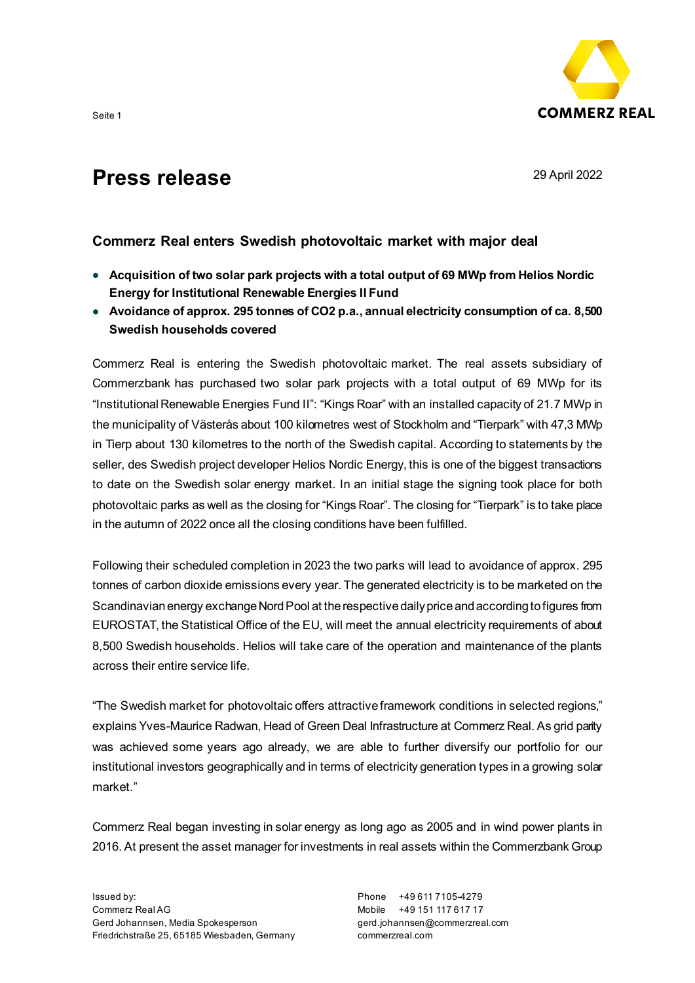

## **Commerz Real enters Swedish photovoltaic market with major deal**

- **Acquisition of two solar park projects with a total output of 69 MWp from Helios Nordic Energy for Institutional Renewable Energies II Fund**
- **Avoidance of approx. 295 tonnes of CO2 p.a., annual electricity consumption of ca. 8,500 Swedish households covered**

Commerz Real is entering the Swedish photovoltaic market. The real assets subsidiary of Commerzbank has purchased two solar park projects with a total output of 69 MWp for its "Institutional Renewable Energies Fund II": "Kings Roar" with an installed capacity of 21.7 MWp in the municipality of Västerås about 100 kilometres west of Stockholm and "Tierpark" with 47,3 MWp in Tierp about 130 kilometres to the north of the Swedish capital. According to statements by the seller, des Swedish project developer Helios Nordic Energy, this is one of the biggest transactions to date on the Swedish solar energy market. In an initial stage the signing took place for both photovoltaic parks as well as the closing for "Kings Roar". The closing for "Tierpark" is to take place in the autumn of 2022 once all the closing conditions have been fulfilled.

Following their scheduled completion in 2023 the two parks will lead to avoidance of approx. 295 tonnes of carbon dioxide emissions every year. The generated electricity is to be marketed on the Scandinavian energy exchange Nord Pool at the respective daily price and according to figures from EUROSTAT, the Statistical Office of the EU, will meet the annual electricity requirements of about 8,500 Swedish households. Helios will take care of the operation and maintenance of the plants across their entire service life.

"The Swedish market for photovoltaic offers attractive framework conditions in selected regions," explains Yves-Maurice Radwan, Head of Green Deal Infrastructure at Commerz Real. As grid parity was achieved some years ago already, we are able to further diversify our portfolio for our institutional investors geographically and in terms of electricity generation types in a growing solar market."

Commerz Real began investing in solar energy as long ago as 2005 and in wind power plants in 2016. At present the asset manager for investments in real assets within the Commerzbank Group

Phone +49 611 7105-4279 Mobile +49 151 117 617 17 gerd.johannsen@commerzreal.com commerzreal.com

Seite 1